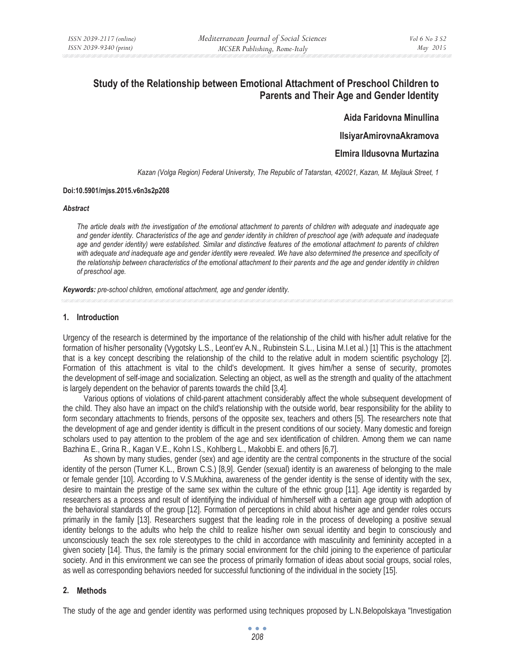# **Study of the Relationship between Emotional Attachment of Preschool Children to Parents and Their Age and Gender Identity**

**Ȼida Faridovna Minullina** 

**IlsiyarAmirovnaAkramova** 

**Elmira Ildusovna Murtazina** 

*Kazan (Volga Region) Federal University, The Republic of Tatarstan, 420021, Kazan, M. Mejlauk Street, 1* 

#### **Doi:10.5901/mjss.2015.v6n3s2p208**

#### *Abstract*

*The article deals with the investigation of the emotional attachment to parents of children with adequate and inadequate age*  and gender identity. Characteristics of the age and gender identity in children of preschool age (with adequate and inadequate age and gender identity) were established. Similar and distinctive features of the emotional attachment to parents of children with adequate and inadequate age and gender identity were revealed. We have also determined the presence and specificity of *the relationship between characteristics of the emotional attachment to their parents and the age and gender identity in children of preschool age.* 

*Keywords: pre-school children, emotional attachment, age and gender identity.* 

### **1. Introduction**

Urgency of the research is determined by the importance of the relationship of the child with his/her adult relative for the formation of his/her personality (Vygotsky L.S., Leont'ev A.N., Rubinstein S.L., Lisina M.I.et al.) [1] This is the attachment that is a key concept describing the relationship of the child to the relative adult in modern scientific psychology [2]. Formation of this attachment is vital to the child's development. It gives him/her a sense of security, promotes the development of self-image and socialization. Selecting an object, as well as the strength and quality of the attachment is largely dependent on the behavior of parents towards the child [3,4].

Various options of violations of child-parent attachment considerably affect the whole subsequent development of the child. They also have an impact on the child's relationship with the outside world, bear responsibility for the ability to form secondary attachments to friends, persons of the opposite sex, teachers and others [5]. The researchers note that the development of age and gender identity is difficult in the present conditions of our society. Many domestic and foreign scholars used to pay attention to the problem of the age and sex identification of children. Among them we can name Bazhina E., Grina R., Kagan V.E., Kohn I.S., Kohlberg L., Makobbi E. and others [6,7].

As shown by many studies, gender (sex) and age identity are the central components in the structure of the social identity of the person (Turner K.L., Brown C.S.) [8,9]. Gender (sexual) identity is an awareness of belonging to the male or female gender [10]. According to V.S.Mukhina, awareness of the gender identity is the sense of identity with the sex, desire to maintain the prestige of the same sex within the culture of the ethnic group [11]. Age identity is regarded by researchers as a process and result of identifying the individual of him/herself with a certain age group with adoption of the behavioral standards of the group [12]. Formation of perceptions in child about his/her age and gender roles occurs primarily in the family [13]. Researchers suggest that the leading role in the process of developing a positive sexual identity belongs to the adults who help the child to realize his/her own sexual identity and begin to consciously and unconsciously teach the sex role stereotypes to the child in accordance with masculinity and femininity accepted in a given society [14]. Thus, the family is the primary social environment for the child joining to the experience of particular society. And in this environment we can see the process of primarily formation of ideas about social groups, social roles, as well as corresponding behaviors needed for successful functioning of the individual in the society [15].

#### **2. Methods**

The study of the age and gender identity was performed using techniques proposed by L.N.Belopolskaya "Investigation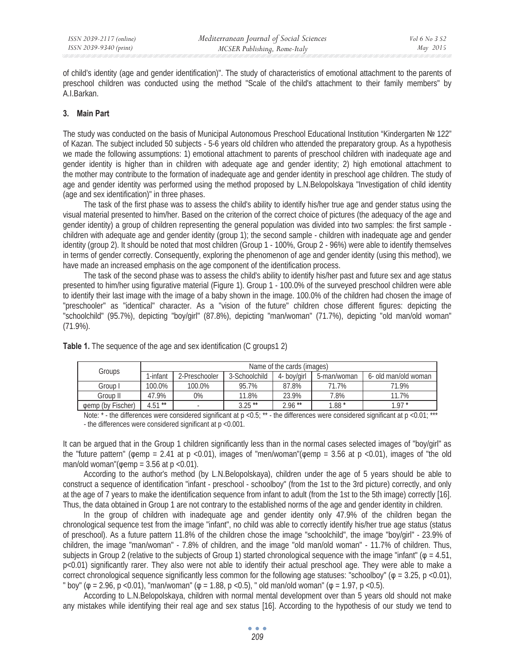of child's identity (age and gender identification)". The study of characteristics of emotional attachment to the parents of preschool children was conducted using the method "Scale of the child's attachment to their family members" by A.I.Barkan.

## **3. Main Part**

The study was conducted on the basis of Municipal Autonomous Preschool Educational Institution "Kindergarten № 122" of Kazan. The subject included 50 subjects - 5-6 years old children who attended the preparatory group. As a hypothesis we made the following assumptions: 1) emotional attachment to parents of preschool children with inadequate age and gender identity is higher than in children with adequate age and gender identity; 2) high emotional attachment to the mother may contribute to the formation of inadequate age and gender identity in preschool age children. The study of age and gender identity was performed using the method proposed by L.N.Belopolskaya "Investigation of child identity (age and sex identification)" in three phases.

The task of the first phase was to assess the child's ability to identify his/her true age and gender status using the visual material presented to him/her. Based on the criterion of the correct choice of pictures (the adequacy of the age and gender identity) a group of children representing the general population was divided into two samples: the first sample children with adequate age and gender identity (group 1); the second sample - children with inadequate age and gender identity (group 2). It should be noted that most children (Group 1 - 100%, Group 2 - 96%) were able to identify themselves in terms of gender correctly. Consequently, exploring the phenomenon of age and gender identity (using this method), we have made an increased emphasis on the age component of the identification process.

The task of the second phase was to assess the child's ability to identify his/her past and future sex and age status presented to him/her using figurative material (Figure 1). Group 1 - 100.0% of the surveyed preschool children were able to identify their last image with the image of a baby shown in the image. 100.0% of the children had chosen the image of "preschooler" as "identical" character. As a "vision of the future" children chose different figures: depicting the "schoolchild" (95.7%), depicting "boy/girl" (87.8%), depicting "man/woman" (71.7%), depicting "old man/old woman" (71.9%).

| Groups            | Name of the cards (images) |                          |               |             |             |                      |  |  |  |
|-------------------|----------------------------|--------------------------|---------------|-------------|-------------|----------------------|--|--|--|
|                   | l-infant                   | 2-Preschooler            | 3-Schoolchild | 4- boy/girl | 5-man/woman | 6- old man/old woman |  |  |  |
| Group I           | 100.0%                     | 100.0%                   | 95.7%         | 87.8%       | 71.7%       | 71.9%                |  |  |  |
| Group II          | 47.9%                      | 0%                       | 11.8%         | 23.9%       | 7.8%        | 11.7%                |  |  |  |
| gemp (by Fischer) | $4.51***$                  | $\overline{\phantom{a}}$ | $3.25$ **     | $2.96$ **   | $1.88*$     | 1 97 *               |  |  |  |

**Table 1.** The sequence of the age and sex identification (C groups1 2)

Note:  $*$ -the differences were considered significant at  $p < 0.5$ ;  $**$ -the differences were considered significant at  $p < 0.01$ ; \*\*\* - the differences were considered significant at p <0.001.

It can be argued that in the Group 1 children significantly less than in the normal cases selected images of "boy/girl" as the "future pattern" ( $\phi$ emp = 2.41 at p <0.01), images of "men/woman"( $\phi$ emp = 3.56 at p <0.01), images of "the old man/old woman"( $\phi$ emp = 3.56 at p <0.01).

According to the author's method (by L.N.Belopolskaya), children under the age of 5 years should be able to construct a sequence of identification "infant - preschool - schoolboy" (from the 1st to the 3rd picture) correctly, and only at the age of 7 years to make the identification sequence from infant to adult (from the 1st to the 5th image) correctly [16]. Thus, the data obtained in Group 1 are not contrary to the established norms of the age and gender identity in children.

In the group of children with inadequate age and gender identity only 47.9% of the children began the chronological sequence test from the image "infant", no child was able to correctly identify his/her true age status (status of preschool). As a future pattern 11.8% of the children chose the image "schoolchild", the image "boy/girl" - 23.9% of children, the image "man/woman" - 7.8% of children, and the image "old man/old woman" - 11.7% of children. Thus, subjects in Group 2 (relative to the subjects of Group 1) started chronological sequence with the image "infant" ( $\varphi = 4.51$ , p<0.01) significantly rarer. They also were not able to identify their actual preschool age. They were able to make a correct chronological sequence significantly less common for the following age statuses: "schoolboy" ( $\varphi = 3.25$ , p <0.01), " boy" ( $\varphi$  = 2.96, p <0.01), "man/woman" ( $\varphi$  = 1.88, p <0.5), " old man/old woman" ( $\varphi$  = 1.97, p <0.5).

According to L.N.Belopolskaya, children with normal mental development over than 5 years old should not make any mistakes while identifying their real age and sex status [16]. According to the hypothesis of our study we tend to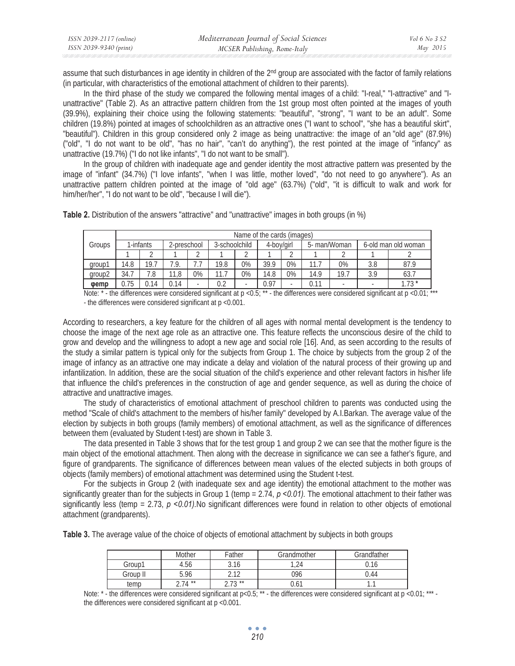| ISSN 2039-2117 (online) | Mediterranean Journal of Social Sciences | Vol 6 No 3 S2 |
|-------------------------|------------------------------------------|---------------|
| ISSN 2039-9340 (print)  | MCSER Publishing, Rome-Italy             | May 2015      |

assume that such disturbances in age identity in children of the 2<sup>nd</sup> group are associated with the factor of family relations (in particular, with characteristics of the emotional attachment of children to their parents).

In the third phase of the study we compared the following mental images of a child: "I-real," "I-attractive" and "Iunattractive" (Table 2). As an attractive pattern children from the 1st group most often pointed at the images of youth (39.9%), explaining their choice using the following statements: "beautiful", "strong", "I want to be an adult". Some children (19.8%) pointed at images of schoolchildren as an attractive ones ("I want to school", "she has a beautiful skirt", "beautiful"). Children in this group considered only 2 image as being unattractive: the image of an "old age" (87.9%) ("old", "I do not want to be old", "has no hair", "can't do anything"), the rest pointed at the image of "infancy" as unattractive (19.7%) ("I do not like infants", "I do not want to be small").

In the group of children with inadequate age and gender identity the most attractive pattern was presented by the image of "infant" (34.7%) ("I love infants", "when I was little, mother loved", "do not need to go anywhere"). As an unattractive pattern children pointed at the image of "old age" (63.7%) ("old", "it is difficult to walk and work for him/her/her", "I do not want to be old", "because I will die").

|             | Name of the cards (images) |        |             |                          |               |    |            |    |              |      |                     |         |
|-------------|----------------------------|--------|-------------|--------------------------|---------------|----|------------|----|--------------|------|---------------------|---------|
| Groups      | I-infants                  |        | 2-preschool |                          | 3-schoolchild |    | 4-boy/girl |    | 5- man/Woman |      | 6-old man old woman |         |
|             |                            | $\sim$ |             | $\sim$                   |               |    |            | ⌒  |              |      |                     |         |
| group1      | 14.8                       | 19.7   | 1.9.        | ,,,                      | 19.8          | 0% | 39.9       | 0% | $11_{.1}$    | 0%   | 3.8                 | 87.9    |
| group2      | 34.7                       | 7.8    | 11,8        | 0%                       |               | 0% | 14.8       | 0% | 14.9         | 19.7 | 3.9                 | 63.7    |
| <b>vemp</b> | 0.75                       | 0.14   | 0.14        | $\overline{\phantom{a}}$ | 0.2           |    | 0.97       | ۰  | 0.11         | ۰    |                     | $1.73*$ |

**Table 2.** Distribution of the answers "attractive" and "unattractive" images in both groups (in %)

Note:  $*$  - the differences were considered significant at p < 0.5;  $*$  - the differences were considered significant at p < 0.01;  $*$ - the differences were considered significant at p <0.001.

According to researchers, a key feature for the children of all ages with normal mental development is the tendency to choose the image of the next age role as an attractive one. This feature reflects the unconscious desire of the child to grow and develop and the willingness to adopt a new age and social role [16]. And, as seen according to the results of the study a similar pattern is typical only for the subjects from Group 1. The choice by subjects from the group 2 of the image of infancy as an attractive one may indicate a delay and violation of the natural process of their growing up and infantilization. In addition, these are the social situation of the child's experience and other relevant factors in his/her life that influence the child's preferences in the construction of age and gender sequence, as well as during the choice of attractive and unattractive images.

The study of characteristics of emotional attachment of preschool children to parents was conducted using the method "Scale of child's attachment to the members of his/her family" developed by A.I.Barkan. The average value of the election by subjects in both groups (family members) of emotional attachment, as well as the significance of differences between them (evaluated by Student t-test) are shown in Table 3.

The data presented in Table 3 shows that for the test group 1 and group 2 we can see that the mother figure is the main object of the emotional attachment. Then along with the decrease in significance we can see a father's figure, and figure of grandparents. The significance of differences between mean values of the elected subjects in both groups of objects (family members) of emotional attachment was determined using the Student t-test.

For the subjects in Group 2 (with inadequate sex and age identity) the emotional attachment to the mother was significantly greater than for the subjects in Group 1 (temp = 2.74, p <0.01). The emotional attachment to their father was significantly less (temp =  $2.73$ ,  $p \le 0.01$ ). No significant differences were found in relation to other objects of emotional attachment (grandparents).

**Table 3.** The average value of the choice of objects of emotional attachment by subjects in both groups

|          | Mother | Father        | Grandmother | Grandfather |
|----------|--------|---------------|-------------|-------------|
| Group1   | 4.56   | 3.16          | 1.24        | 0.16        |
| Group II | 5.96   | า 1า<br>ے ، ے | 096         | 0.44        |
| temp     | $74**$ | $72**$<br>◠   | 0.6         | . .         |

Note:  $*$  - the differences were considered significant at  $p < 0.5$ ;  $*$  - the differences were considered significant at  $p < 0.01$ ;  $*$ the differences were considered significant at p <0.001.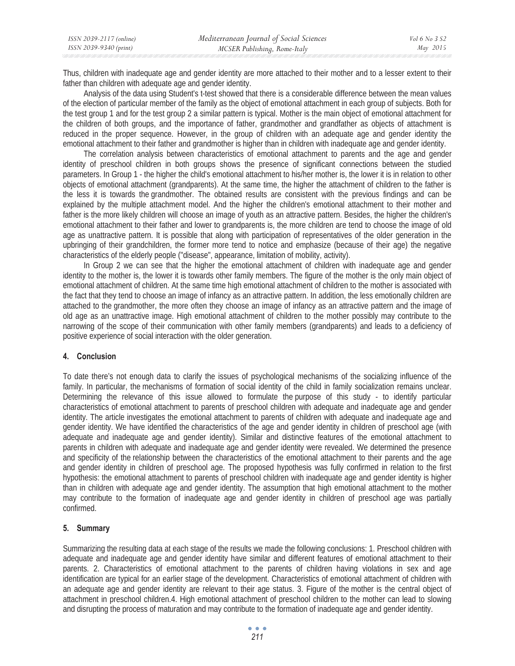Thus, children with inadequate age and gender identity are more attached to their mother and to a lesser extent to their father than children with adequate age and gender identity.

Analysis of the data using Student's t-test showed that there is a considerable difference between the mean values of the election of particular member of the family as the object of emotional attachment in each group of subjects. Both for the test group 1 and for the test group 2 a similar pattern is typical. Mother is the main object of emotional attachment for the children of both groups, and the importance of father, grandmother and grandfather as objects of attachment is reduced in the proper sequence. However, in the group of children with an adequate age and gender identity the emotional attachment to their father and grandmother is higher than in children with inadequate age and gender identity.

The correlation analysis between characteristics of emotional attachment to parents and the age and gender identity of preschool children in both groups shows the presence of significant connections between the studied parameters. In Group 1 - the higher the child's emotional attachment to his/her mother is, the lower it is in relation to other objects of emotional attachment (grandparents). At the same time, the higher the attachment of children to the father is the less it is towards the grandmother. The obtained results are consistent with the previous findings and can be explained by the multiple attachment model. And the higher the children's emotional attachment to their mother and father is the more likely children will choose an image of youth as an attractive pattern. Besides, the higher the children's emotional attachment to their father and lower to grandparents is, the more children are tend to choose the image of old age as unattractive pattern. It is possible that along with participation of representatives of the older generation in the upbringing of their grandchildren, the former more tend to notice and emphasize (because of their age) the negative characteristics of the elderly people ("disease", appearance, limitation of mobility, activity).

In Group 2 we can see that the higher the emotional attachment of children with inadequate age and gender identity to the mother is, the lower it is towards other family members. The figure of the mother is the only main object of emotional attachment of children. At the same time high emotional attachment of children to the mother is associated with the fact that they tend to choose an image of infancy as an attractive pattern. In addition, the less emotionally children are attached to the grandmother, the more often they choose an image of infancy as an attractive pattern and the image of old age as an unattractive image. High emotional attachment of children to the mother possibly may contribute to the narrowing of the scope of their communication with other family members (grandparents) and leads to a deficiency of positive experience of social interaction with the older generation.

## **4. Conclusion**

To date there's not enough data to clarify the issues of psychological mechanisms of the socializing influence of the family. In particular, the mechanisms of formation of social identity of the child in family socialization remains unclear. Determining the relevance of this issue allowed to formulate the purpose of this study - to identify particular characteristics of emotional attachment to parents of preschool children with adequate and inadequate age and gender identity. The article investigates the emotional attachment to parents of children with adequate and inadequate age and gender identity. We have identified the characteristics of the age and gender identity in children of preschool age (with adequate and inadequate age and gender identity). Similar and distinctive features of the emotional attachment to parents in children with adequate and inadequate age and gender identity were revealed. We determined the presence and specificity of the relationship between the characteristics of the emotional attachment to their parents and the age and gender identity in children of preschool age. The proposed hypothesis was fully confirmed in relation to the first hypothesis: the emotional attachment to parents of preschool children with inadequate age and gender identity is higher than in children with adequate age and gender identity. The assumption that high emotional attachment to the mother may contribute to the formation of inadequate age and gender identity in children of preschool age was partially confirmed.

# **5. Summary**

Summarizing the resulting data at each stage of the results we made the following conclusions: 1. Preschool children with adequate and inadequate age and gender identity have similar and different features of emotional attachment to their parents. 2. Characteristics of emotional attachment to the parents of children having violations in sex and age identification are typical for an earlier stage of the development. Characteristics of emotional attachment of children with an adequate age and gender identity are relevant to their age status. 3. Figure of the mother is the central object of attachment in preschool children.4. High emotional attachment of preschool children to the mother can lead to slowing and disrupting the process of maturation and may contribute to the formation of inadequate age and gender identity.